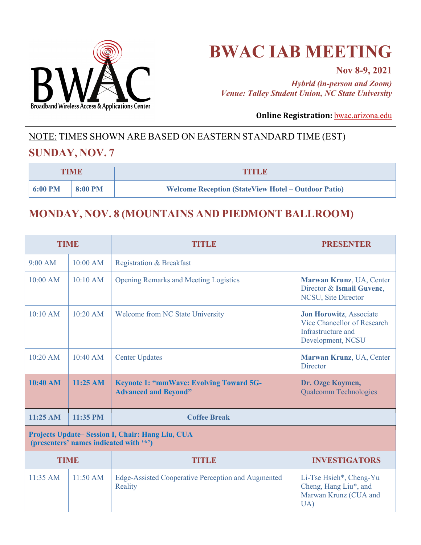

# **BWAC IAB MEETING**

**Nov 8-9, 2021**

*Hybrid (in-person and Zoom) Venue: Talley Student Union, NC State University*

**Online Registration: bwac.arizona.edu** 

## NOTE: TIMES SHOWN ARE BASED ON EASTERN STANDARD TIME (EST)

#### **SUNDAY, NOV. 7**

| <b>TIME</b> |         | TITLE                                                      |
|-------------|---------|------------------------------------------------------------|
| 6:00 PM     | 8:00 PM | <b>Welcome Reception (StateView Hotel – Outdoor Patio)</b> |

#### **MONDAY, NOV. 8 (MOUNTAINS AND PIEDMONT BALLROOM)**

| <b>TIME</b>                                                                               |                    | TITLE                                                                         | <b>PRESENTER</b>                                                                                  |  |
|-------------------------------------------------------------------------------------------|--------------------|-------------------------------------------------------------------------------|---------------------------------------------------------------------------------------------------|--|
| 9:00 AM                                                                                   | 10:00 AM           | <b>Registration &amp; Breakfast</b>                                           |                                                                                                   |  |
| 10:00 AM                                                                                  | 10:10 AM           | <b>Opening Remarks and Meeting Logistics</b>                                  | Marwan Krunz, UA, Center<br>Director & Ismail Guvenc,<br>NCSU, Site Director                      |  |
| 10:10 AM                                                                                  | 10:20 AM           | <b>Welcome from NC State University</b>                                       | Jon Horowitz, Associate<br>Vice Chancellor of Research<br>Infrastructure and<br>Development, NCSU |  |
| $10:20$ AM                                                                                | 10:40 AM           | <b>Center Updates</b>                                                         | Marwan Krunz, UA, Center<br><b>Director</b>                                                       |  |
| 10:40 AM                                                                                  | $11:25 \text{ AM}$ | <b>Keynote 1: "mmWave: Evolving Toward 5G-</b><br><b>Advanced and Beyond"</b> | Dr. Ozge Koymen,<br><b>Qualcomm Technologies</b>                                                  |  |
| 11:25 AM                                                                                  | 11:35 PM           | <b>Coffee Break</b>                                                           |                                                                                                   |  |
| Projects Update-Session I, Chair: Hang Liu, CUA<br>(presenters' names indicated with '*') |                    |                                                                               |                                                                                                   |  |
| <b>TIME</b>                                                                               |                    | TITLE                                                                         | <b>INVESTIGATORS</b>                                                                              |  |
| $11:35$ AM                                                                                | $11:50 \text{ AM}$ | Edge-Assisted Cooperative Perception and Augmented<br>Reality                 | Li-Tse Hsieh*, Cheng-Yu<br>Cheng, Hang Liu*, and<br>Marwan Krunz (CUA and<br>UA)                  |  |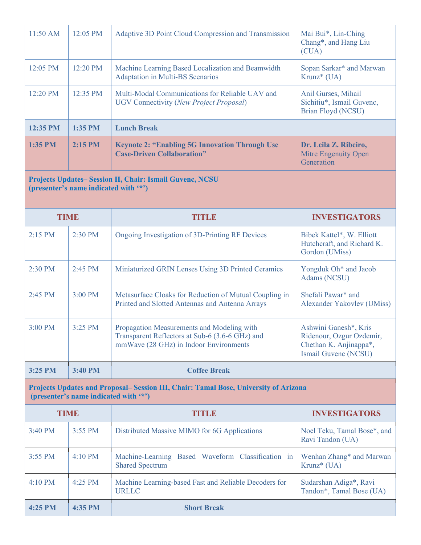| 11:50 AM                                                                                                                      | 12:05 PM    | Adaptive 3D Point Cloud Compression and Transmission                                                                                    | Mai Bui*, Lin-Ching<br>Chang*, and Hang Liu<br>(CUA)                                                |  |
|-------------------------------------------------------------------------------------------------------------------------------|-------------|-----------------------------------------------------------------------------------------------------------------------------------------|-----------------------------------------------------------------------------------------------------|--|
| 12:05 PM                                                                                                                      | 12:20 PM    | Machine Learning Based Localization and Beamwidth<br>Adaptation in Multi-BS Scenarios                                                   | Sopan Sarkar* and Marwan<br>Krunz* (UA)                                                             |  |
| 12:20 PM                                                                                                                      | 12:35 PM    | Multi-Modal Communications for Reliable UAV and<br><b>UGV Connectivity (New Project Proposal)</b>                                       | Anil Gurses, Mihail<br>Sichitiu*, Ismail Guvenc,<br><b>Brian Floyd (NCSU)</b>                       |  |
| 12:35 PM                                                                                                                      | 1:35 PM     | <b>Lunch Break</b>                                                                                                                      |                                                                                                     |  |
| 1:35 PM                                                                                                                       | 2:15 PM     | <b>Keynote 2: "Enabling 5G Innovation Through Use</b><br><b>Case-Driven Collaboration"</b>                                              | Dr. Leila Z. Ribeiro,<br>Mitre Engenuity Open<br>Generation                                         |  |
| Projects Updates-Session II, Chair: Ismail Guvenc, NCSU<br>(presenter's name indicated with '*')                              |             |                                                                                                                                         |                                                                                                     |  |
|                                                                                                                               | <b>TIME</b> | TITLE                                                                                                                                   | <b>INVESTIGATORS</b>                                                                                |  |
| 2:15 PM                                                                                                                       | 2:30 PM     | Ongoing Investigation of 3D-Printing RF Devices                                                                                         | Bibek Kattel*, W. Elliott<br>Hutchcraft, and Richard K.<br>Gordon (UMiss)                           |  |
| 2:30 PM                                                                                                                       | 2:45 PM     | Miniaturized GRIN Lenses Using 3D Printed Ceramics                                                                                      | Yongduk Oh <sup>*</sup> and Jacob<br>Adams (NCSU)                                                   |  |
| 2:45 PM                                                                                                                       | 3:00 PM     | Metasurface Cloaks for Reduction of Mutual Coupling in<br>Printed and Slotted Antennas and Antenna Arrays                               | Shefali Pawar* and<br>Alexander Yakovlev (UMiss)                                                    |  |
| 3:00 PM                                                                                                                       | 3:25 PM     | Propagation Measurements and Modeling with<br>Transparent Reflectors at Sub-6 (3.6-6 GHz) and<br>mmWave (28 GHz) in Indoor Environments | Ashwini Ganesh*, Kris<br>Ridenour, Ozgur Ozdemir,<br>Chethan K. Anjinappa*,<br>Ismail Guvenc (NCSU) |  |
| 3:25 PM                                                                                                                       | 3:40 PM     | <b>Coffee Break</b>                                                                                                                     |                                                                                                     |  |
| Projects Updates and Proposal– Session III, Chair: Tamal Bose, University of Arizona<br>(presenter's name indicated with "*") |             |                                                                                                                                         |                                                                                                     |  |
| <b>TIME</b>                                                                                                                   |             | TITLE                                                                                                                                   | <b>INVESTIGATORS</b>                                                                                |  |
| 3:40 PM                                                                                                                       | 3:55 PM     | Distributed Massive MIMO for 6G Applications                                                                                            | Noel Teku, Tamal Bose*, and<br>Ravi Tandon (UA)                                                     |  |
| 3:55 PM                                                                                                                       | 4:10 PM     | Machine-Learning Based Waveform Classification in<br><b>Shared Spectrum</b>                                                             | Wenhan Zhang* and Marwan<br>Krunz* (UA)                                                             |  |
| 4:10 PM                                                                                                                       | 4:25 PM     | Machine Learning-based Fast and Reliable Decoders for<br><b>URLLC</b>                                                                   | Sudarshan Adiga*, Ravi<br>Tandon*, Tamal Bose (UA)                                                  |  |

**4:25 PM 4:35 PM Short Break**